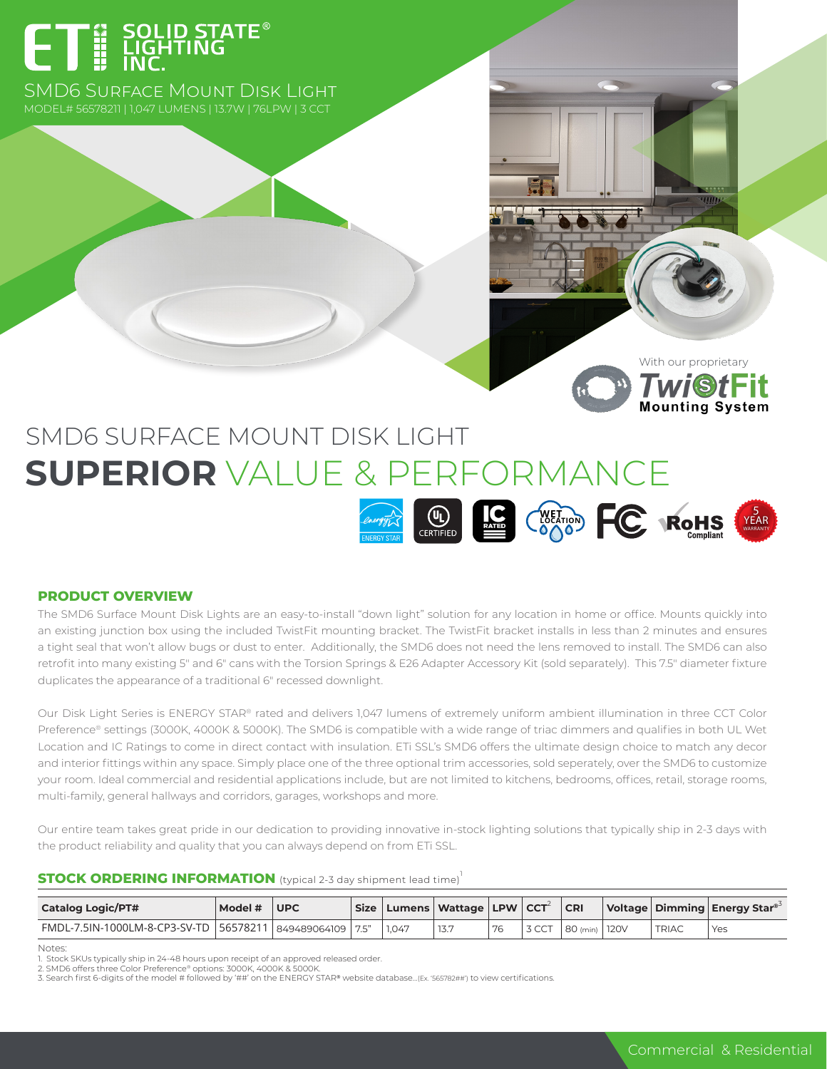# ET E SOLID STATE<sup>®</sup>

SMD6 Surface Mount Disk Light



# SMD6 SURFACE MOUNT DISK LIGHT **SUPERIOR** VALUE & PERFORMANCE



### **PRODUCT OVERVIEW**

The SMD6 Surface Mount Disk Lights are an easy-to-install "down light" solution for any location in home or office. Mounts quickly into an existing junction box using the included TwistFit mounting bracket. The TwistFit bracket installs in less than 2 minutes and ensures a tight seal that won't allow bugs or dust to enter. Additionally, the SMD6 does not need the lens removed to install. The SMD6 can also retrofit into many existing 5″ and 6″ cans with the Torsion Springs & E26 Adapter Accessory Kit (sold separately). This 7.5″ diameter fixture duplicates the appearance of a traditional 6″ recessed downlight.

Our Disk Light Series is ENERGY STAR® rated and delivers 1,047 lumens of extremely uniform ambient illumination in three CCT Color Preference® settings (3000K, 4000K & 5000K). The SMD6 is compatible with a wide range of triac dimmers and qualifies in both UL Wet Location and IC Ratings to come in direct contact with insulation. ETi SSL's SMD6 offers the ultimate design choice to match any decor and interior fittings within any space. Simply place one of the three optional trim accessories, sold seperately, over the SMD6 to customize your room. Ideal commercial and residential applications include, but are not limited to kitchens, bedrooms, offices, retail, storage rooms, multi-family, general hallways and corridors, garages, workshops and more.

Our entire team takes great pride in our dedication to providing innovative in-stock lighting solutions that typically ship in 2-3 days with the product reliability and quality that you can always depend on from ETi SSL.

#### **STOCK ORDERING INFORMATION** (typical 2-3 day shipment lead time)<sup>1</sup>

| <b>Catalog Logic/PT#</b>                                       | $\vert$ Model $\sharp$ $\vert$ UPC |  |       | Size   Lumens   Wattage   LPW   CCT <sup>2</sup> |    |       | CR            |              | $\vert$ Voltage   Dimming   Energy Star <sup>®3</sup> |
|----------------------------------------------------------------|------------------------------------|--|-------|--------------------------------------------------|----|-------|---------------|--------------|-------------------------------------------------------|
| FMDL-7.5IN-1000LM-8-CP3-SV-TD   56578211   849489064109   7.5" |                                    |  | 1.047 | 13.7                                             | 76 | 3 CCT | 80 (min) 120V | <b>TRIAC</b> | Yes                                                   |

Notes:

1. Stock SKUs typically ship in 24-48 hours upon receipt of an approved released order

2. SMD6 offers three Color Preference® options: 3000K, 4000K & 5000K.<br>3. Search first 6-digits of the model # followed by '##' on the ENERGY STAR® website database...(Ex. '565782##') to view certifications.